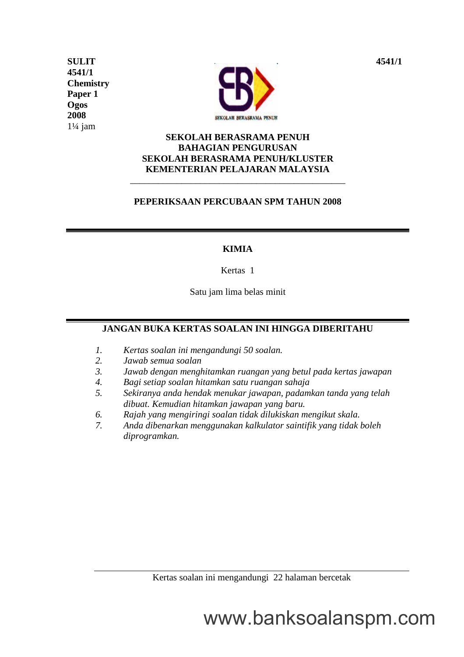**4541/1 Chemistry Paper 1 Ogos 2008**  $1\frac{1}{4}$  jam



## **SEKOLAH BERASRAMA PENUH BAHAGIAN PENGURUSAN SEKOLAH BERASRAMA PENUH/KLUSTER KEMENTERIAN PELAJARAN MALAYSIA**

## **PEPERIKSAAN PERCUBAAN SPM TAHUN 2008**

\_\_\_\_\_\_\_\_\_\_\_\_\_\_\_\_\_\_\_\_\_\_\_\_\_\_\_\_\_\_\_\_\_\_\_\_\_\_\_\_\_\_\_\_\_\_

### **KIMIA**

Kertas 1

Satu jam lima belas minit

# **JANGAN BUKA KERTAS SOALAN INI HINGGA DIBERITAHU**

- *1. Kertas soalan ini mengandungi 50 soalan.*
- *2. Jawab semua soalan*
- *3. Jawab dengan menghitamkan ruangan yang betul pada kertas jawapan*
- *4. Bagi setiap soalan hitamkan satu ruangan sahaja*
- *5. Sekiranya anda hendak menukar jawapan, padamkan tanda yang telah dibuat. Kemudian hitamkan jawapan yang baru.*
- *6. Rajah yang mengiringi soalan tidak dilukiskan mengikut skala.*
- *7. Anda dibenarkan menggunakan kalkulator saintifik yang tidak boleh diprogramkan.*

Kertas soalan ini mengandungi 22 halaman bercetak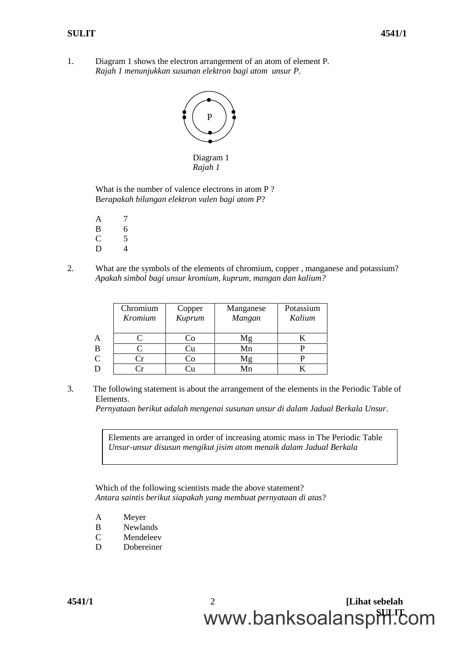1. Diagram 1 shows the electron arrangement of an atom of element P. *Rajah 1 menunjukkan susunan elektron bagi atom unsur P.*



*Rajah 1*

What is the number of valence electrons in atom P ? B*erapakah bilangan elektron valen bagi atom P*?

- A 7 B 6 C 5 D 4
- 2. What are the symbols of the elements of chromium, copper , manganese and potassium? *Apakah simbol bagi unsur kromium, kuprum, mangan dan kalium?*

|              | Chromium<br>Kromium | Copper<br>Kuprum | Manganese<br>Mangan | Potassium<br>Kalium |
|--------------|---------------------|------------------|---------------------|---------------------|
| A            |                     | ∴`∩              | Μg                  |                     |
| B            |                     | . Ju             | Mn                  |                     |
| $\mathsf{C}$ |                     |                  |                     |                     |
| D            |                     |                  |                     |                     |

3. The following statement is about the arrangement of the elements in the Periodic Table of Elements.

*Pernyataan berikut adalah mengenai susunan unsur di dalam Jadual Berkala Unsur*.

Elements are arranged in order of increasing atomic mass in The Periodic Table *Unsur-unsur disusun mengikut jisim atom menaik dalam Jadual Berkala*

Which of the following scientists made the above statement? *Antara saintis berikut siapakah yang membuat pernyataan di atas*?

- A Meyer
- B Newlands
- C Mendeleev
- D Dobereiner

**4541/1** 2 **[Lihat sebelah** www.banksoalanspill.com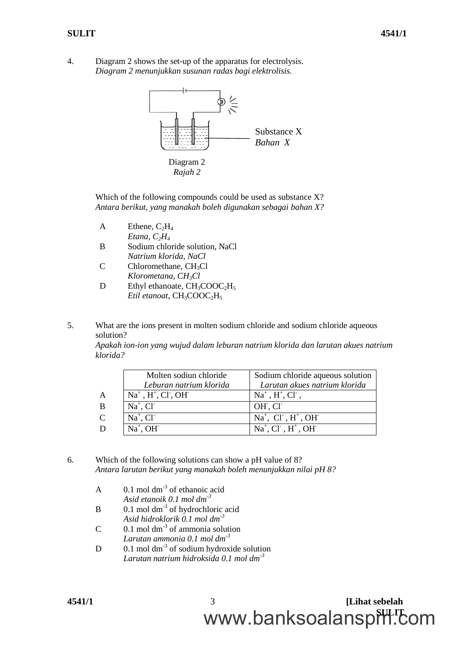4. Diagram 2 shows the set-up of the apparatus for electrolysis. *Diagram 2 menunjukkan susunan radas bagi elektrolisis.*



Which of the following compounds could be used as substance X? *Antara berikut, yang manakah boleh digunakan sebagai bahan X?*

- $A$  Ethene,  $C_2H_4$ *Etana, C2H<sup>4</sup>*
- B Sodium chloride solution, NaCl *Natrium klorida, NaCl*
- $C$  Chloromethane,  $CH<sub>3</sub>Cl$ *Klorometana, CH3Cl*
- D Ethyl ethanoate,  $CH_3COOC<sub>2</sub>H<sub>5</sub>$ *Etil etanoat*, CH<sub>3</sub>COOC<sub>2</sub>H<sub>5</sub>

5. What are the ions present in molten sodium chloride and sodium chloride aqueous solution? *Apakah ion-ion yang wujud dalam leburan natrium klorida dan larutan akues natrium klorida?*

|                | Molten sodiun chloride       | Sodium chloride aqueous solution |
|----------------|------------------------------|----------------------------------|
|                | Leburan natrium klorida      | Larutan akues natrium klorida    |
| A              | $Na+$ , $H+$ , $CI*$ , $OH-$ | $Na^+$ , $H^+$ , $Cl^-$ ,        |
| B              | $Na^+$ , Cl <sup>-</sup>     | OH, CI                           |
| $\overline{C}$ | $Na^+$ , $Cl^-$              | $Na+$ , Cl , H <sup>+</sup> , OH |
| D              | $Na^+$ , OH                  | $Na+, Cl-, H+, OH-$              |

- 6. Which of the following solutions can show a pH value of 8? *Antara larutan berikut yang manakah boleh menunjukkan nilai pH 8?*
	- A  $0.1 \text{ mol dm}^3$  of ethanoic acid
		- *Asid etanoik 0.1 mol dm-3*
	- $B = 0.1$  mol dm<sup>-3</sup> of hydrochloric acid *Asid hidroklorik 0.1 mol dm-3*
	- $C = 0.1$  mol dm<sup>-3</sup> of ammonia solution *Larutan ammonia 0.1 mol dm-3*
	- D 0.1 mol dm<sup>-3</sup> of sodium hydroxide solution *Larutan natrium hidroksida 0.1 mol dm-3*

**4541/1** 3 **[Lihat sebelah** www.banksoalanspill.com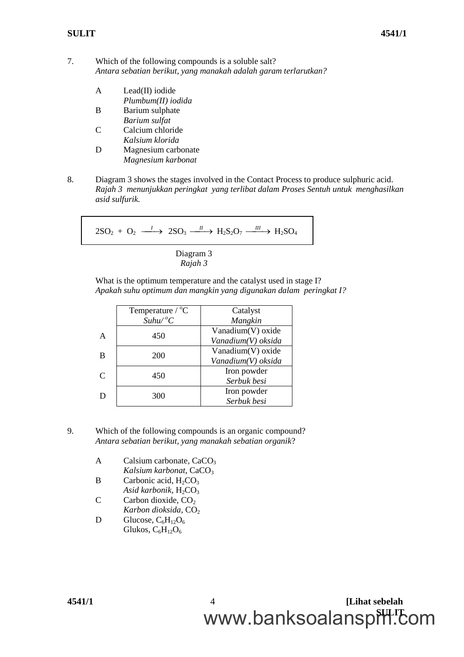7. Which of the following compounds is a soluble salt? *Antara sebatian berikut, yang manakah adalah garam terlarutkan?*

- A Lead(II) iodide *Plumbum(II) iodida*
- B Barium sulphate *Barium sulfat*
- C Calcium chloride *Kalsium klorida*
- D Magnesium carbonate *Magnesium karbonat*
- 8. Diagram 3 shows the stages involved in the Contact Process to produce sulphuric acid. *Rajah 3 menunjukkan peringkat yang terlibat dalam Proses Sentuh untuk menghasilkan asid sulfurik.*

$$
2SO_2 + O_2 \xrightarrow{I} 2SO_3 \xrightarrow{II} H_2S_2O_7 \xrightarrow{III} H_2SO_4
$$

Diagram 3 *Rajah 3*

What is the optimum temperature and the catalyst used in stage I? *Apakah suhu optimum dan mangkin yang digunakan dalam peringkat I?*

|               | Temperature $\textdegree$ C | Catalyst           |
|---------------|-----------------------------|--------------------|
|               | $Suhu/{}^oC$                | Mangkin            |
| A             | 450                         | Vanadium(V) oxide  |
|               |                             | Vanadium(V) oksida |
| B             | 200                         | Vanadium(V) oxide  |
|               |                             | Vanadium(V) oksida |
| $\mathcal{C}$ | 450                         | Iron powder        |
|               |                             | Serbuk besi        |
| Ð             | 300                         | Iron powder        |
|               |                             | Serbuk besi        |

- 9. Which of the following compounds is an organic compound? *Antara sebatian berikut, yang manakah sebatian organik*?
	- A Calsium carbonate,  $CaCO<sub>3</sub>$ *Kalsium karbonat, CaCO<sub>3</sub>*
	- B Carbonic acid,  $H_2CO_3$
	- Asid karbonik, H<sub>2</sub>CO<sub>3</sub>  $C$  Carbon dioxide,  $CO<sub>2</sub>$ 
		- *Karbon dioksida, CO*<sub>2</sub>
	- D Glucose,  $C_6H_{12}O_6$ Glukos,  $C_6H_{12}O_6$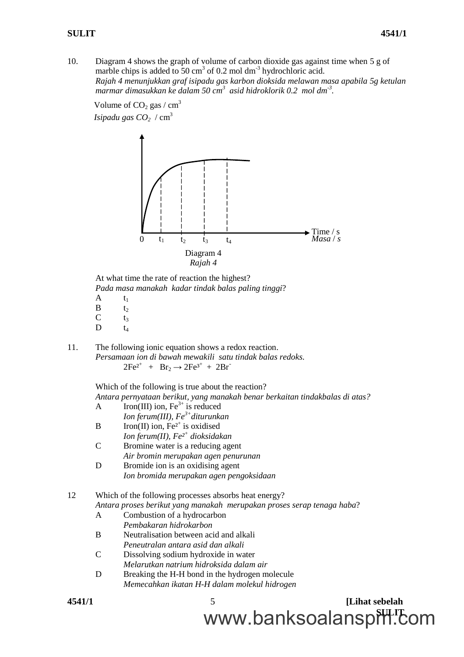10. Diagram 4 shows the graph of volume of carbon dioxide gas against time when 5 g of marble chips is added to  $50 \text{ cm}^3$  of 0.2 mol dm<sup>-3</sup> hydrochloric acid. *Rajah 4 menunjukkan graf isipadu gas karbon dioksida melawan masa apabila 5g ketulan marmar dimasukkan ke dalam 50 cm<sup>3</sup> asid hidroklorik 0.2 mol dm-3 .*

*Isipadu gas*  $CO<sub>2</sub>$  /  $cm<sup>3</sup>$ Volume of  $CO_2$  gas / cm<sup>3</sup>



At what time the rate of reaction the highest? *Pada masa manakah kadar tindak balas paling tinggi*?  $A$   $t_1$ 

- $B$   $t_2$  $C$   $t_3$
- $D$   $t_4$
- 11. The following ionic equation shows a redox reaction. *Persamaan ion di bawah mewakili satu tindak balas redoks.*  $2Fe^{2^+} + Br_2 \rightarrow 2Fe^{3^+} + 2Br^-$

Which of the following is true about the reaction? *Antara pernyataan berikut, yang manakah benar berkaitan tindakbalas di atas?*

- A Iron(III) ion,  $Fe^{3+}$  is reduced *Ion ferum(III), Fe3+ diturunkan* B Iron(II) ion,  $Fe<sup>2+</sup>$  is oxidised *Ion ferum(II), Fe²<sup>+</sup> dioksidakan*
- C Bromine water is a reducing agent *Air bromin merupakan agen penurunan*
- D Bromide ion is an oxidising agent *Ion bromida merupakan agen pengoksidaan*

#### 12 Which of the following processes absorbs heat energy? *Antara proses berikut yang manakah merupakan proses serap tenaga haba*?

- A Combustion of a hydrocarbon *Pembakaran hidrokarbon*
- B Neutralisation between acid and alkali *Peneutralan antara asid dan alkali*
- C Dissolving sodium hydroxide in water *Melarutkan natrium hidroksida dalam air*
- D Breaking the H-H bond in the hydrogen molecule *Memecahkan ikatan H-H dalam molekul hidrogen*

$$
4541/1
$$

**4541/1** 5 **[Lihat sebelah** www.banksoalanspill.com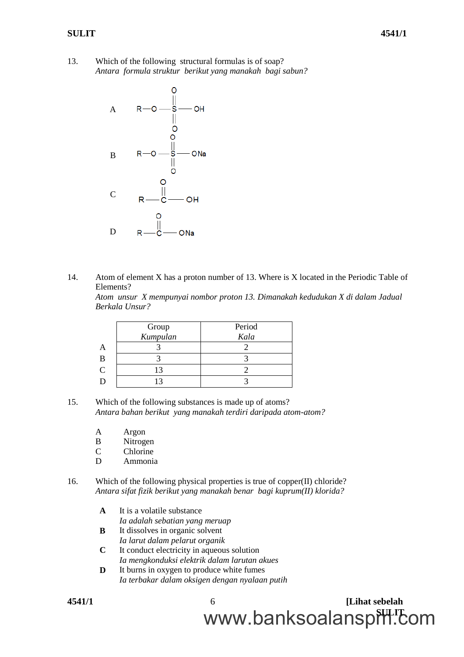13. Which of the following structural formulas is of soap? *Antara formula struktur berikut yang manakah bagi sabun?*



14. Atom of element X has a proton number of 13. Where is X located in the Periodic Table of Elements? *Atom unsur X mempunyai nombor proton 13. Dimanakah kedudukan X di dalam Jadual Berkala Unsur?*

|               | Group    | Period |
|---------------|----------|--------|
|               | Kumpulan | Kala   |
|               |          |        |
| B             |          |        |
| $\mathcal{C}$ |          |        |
|               |          |        |

- 15. Which of the following substances is made up of atoms? *Antara bahan berikut yang manakah terdiri daripada atom-atom?*
	- A Argon
	- B Nitrogen
	- C Chlorine
	- D Ammonia
- 16. Which of the following physical properties is true of copper(II) chloride? *Antara sifat fizik berikut yang manakah benar bagi kuprum(II) klorida?*
	- **A** It is a volatile substance *Ia adalah sebatian yang meruap*
	- **B** It dissolves in organic solvent *Ia larut dalam pelarut organik*
	- **C** It conduct electricity in aqueous solution *Ia mengkonduksi elektrik dalam larutan akues*
	- **D** It burns in oxygen to produce white fumes *Ia terbakar dalam oksigen dengan nyalaan putih*

**4541/1** 6 **[Lihat sebelah** www.banksoalanspill.com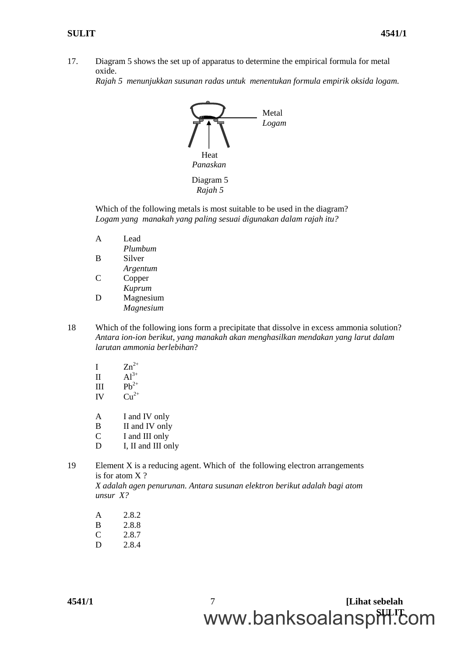17. Diagram 5 shows the set up of apparatus to determine the empirical formula for metal oxide.

*Rajah 5 menunjukkan susunan radas untuk menentukan formula empirik oksida logam.*



Which of the following metals is most suitable to be used in the diagram? *Logam yang manakah yang paling sesuai digunakan dalam rajah itu?*

- A Lead *Plumbum* B Silver
- *Argentum* C Copper
- *Kuprum* D Magnesium *Magnesium*
- 18 Which of the following ions form a precipitate that dissolve in excess ammonia solution? *Antara ion-ion berikut, yang manakah akan menghasilkan mendakan yang larut dalam larutan ammonia berlebihan*?
	- I  $Zn^{2+}$
	- II  $Al^{3+}$
	- III  $Pb^{2+}$
	- IV  $Cu^{2+}$
	- A I and IV only
	- B II and IV only
	- C I and III only
	- D I, II and III only
- 19 Element X is a reducing agent. Which of the following electron arrangements is for atom X ?

*X adalah agen penurunan. Antara susunan elektron berikut adalah bagi atom unsur X?*

- A 2.8.2 B 2.8.8 C 2.8.7
- D 2.8.4

**4541/1** 7 **[Lihat sebelah** www.banksoalanspill.com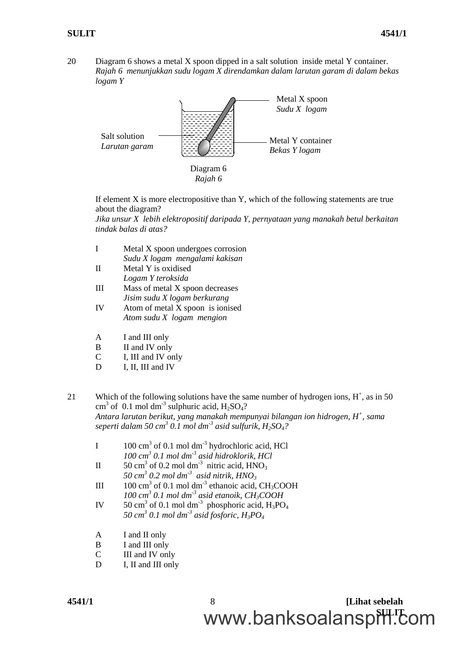20 Diagram 6 shows a metal X spoon dipped in a salt solution inside metal Y container. *Rajah 6 menunjukkan sudu logam X direndamkan dalam larutan garam di dalam bekas logam Y*



If element X is more electropositive than Y, which of the following statements are true about the diagram?

*Jika unsur X lebih elektropositif daripada Y, pernyataan yang manakah betul berkaitan tindak balas di atas?*

- I Metal X spoon undergoes corrosion *Sudu X logam mengalami kakisan* II Metal Y is oxidised *Logam Y teroksida*
- III Mass of metal X spoon decreases *Jisim sudu X logam berkurang*
- IV Atom of metal X spoon is ionised *Atom sudu X logam mengion*
- A I and III only
- B II and IV only
- C I, III and IV only
- D I, II, III and IV
- 21 Which of the following solutions have the same number of hydrogen ions,  $H^+$ , as in 50 cm<sup>3</sup> of 0.1 mol dm<sup>-3</sup> sulphuric acid,  $H_2SO_4$ ? *Antara larutan berikut, yang manakah mempunyai bilangan ion hidrogen, H<sup>+</sup> , sama seperti dalam 50 cm<sup>3</sup> 0.1 mol dm-3 asid sulfurik, H2SO4?*
	- I  $100 \text{ cm}^3$  of 0.1 mol dm<sup>-3</sup> hydrochloric acid, HCl *100 cm<sup>3</sup> 0.1 mol dm-3 asid hidroklorik, HCl*
	- II  $50 \text{ cm}^3$  of 0.2 mol dm<sup>-3</sup> nitric acid,  $HNO_3$ *50 cm<sup>3</sup> 0.2 mol dm-3 asid nitrik, HNO<sup>3</sup>*
	- III 100 cm<sup>3</sup> of 0.1 mol dm<sup>-3</sup> ethanoic acid, CH<sub>3</sub>COOH *100 cm<sup>3</sup> 0.1 mol dm-3 asid etanoik, CH3COOH*
	- IV 50 cm<sup>3</sup> of 0.1 mol dm<sup>-3</sup> phosphoric acid,  $H_3PO_4$ *50 cm<sup>3</sup> 0.1 mol dm-3 asid fosforic, H3PO<sup>4</sup>*
	- A I and II only
	- B I and III only
	- C III and IV only
	- D I, II and III only

**4541/1** 8 **[Lihat sebelah** www.banksoalanspill.com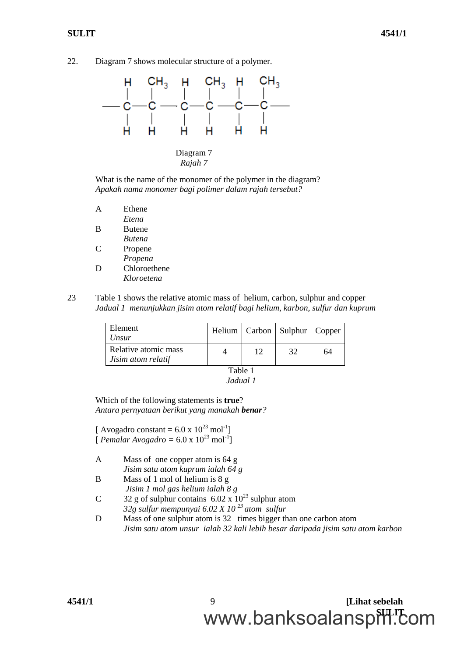22. Diagram 7 shows molecular structure of a polymer.

![](_page_8_Figure_3.jpeg)

*Rajah 7*

What is the name of the monomer of the polymer in the diagram? *Apakah nama monomer bagi polimer dalam rajah tersebut?*

- A Ethene *Etena* B Butene
- *Butena*
- C Propene *Propena* D Chloroethene
	- *Kloroetena*
- 23 Table 1 shows the relative atomic mass of helium, carbon, sulphur and copper *Jadual 1 menunjukkan jisim atom relatif bagi helium, karbon, sulfur dan kuprum*

| Element<br>Unsur                           |    | Helium   Carbon   Sulphur   Copper |    |
|--------------------------------------------|----|------------------------------------|----|
| Relative atomic mass<br>Jisim atom relatif | 12 | 32                                 | 64 |

Table 1 *Jadual 1*

Which of the following statements is **true**? *Antara pernyataan berikut yang manakah benar?*

[ Avogadro constant =  $6.0 \times 10^{23}$  mol<sup>-1</sup>] [*Pemalar Avogadro* =  $6.0 \times 10^{23}$  mol<sup>-1</sup>]

- A Mass of one copper atom is 64 g *Jisim satu atom kuprum ialah 64 g*
- B Mass of 1 mol of helium is 8 g *Jisim 1 mol gas helium ialah 8 g*
- C  $32 g$  of sulphur contains  $6.02 x 10^{23}$  sulphur atom *32g sulfur mempunyai 6.02 X 10 <sup>23</sup> atom sulfur*
- D Mass of one sulphur atom is 32 times bigger than one carbon atom *Jisim satu atom unsur ialah 32 kali lebih besar daripada jisim satu atom karbon*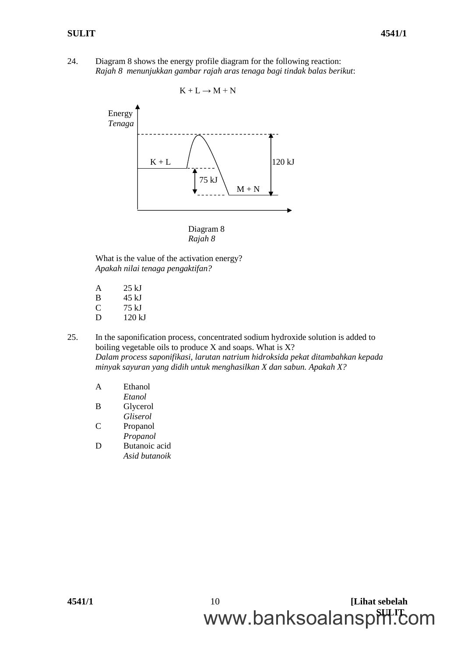24. Diagram 8 shows the energy profile diagram for the following reaction: *Rajah 8 menunjukkan gambar rajah aras tenaga bagi tindak balas berikut*:

K + L → M + N 120 kJ Energy *Tenaga* K + L M + N 75 kJ

Diagram 8 *Rajah 8*

What is the value of the activation energy? *Apakah nilai tenaga pengaktifan?*

- A 25 kJ
- B 45 kJ
- C 75 kJ
- D 120 kJ
- 25. In the saponification process, concentrated sodium hydroxide solution is added to boiling vegetable oils to produce X and soaps. What is X? *Dalam process saponifikasi, larutan natrium hidroksida pekat ditambahkan kepada minyak sayuran yang didih untuk menghasilkan X dan sabun. Apakah X?*

| A  | Ethanol  |
|----|----------|
|    | Etanol   |
| B  | Glycerol |
|    | Gliserol |
| ſ. | Propanol |

- *Propanol*
- D Butanoic acid *Asid butanoik*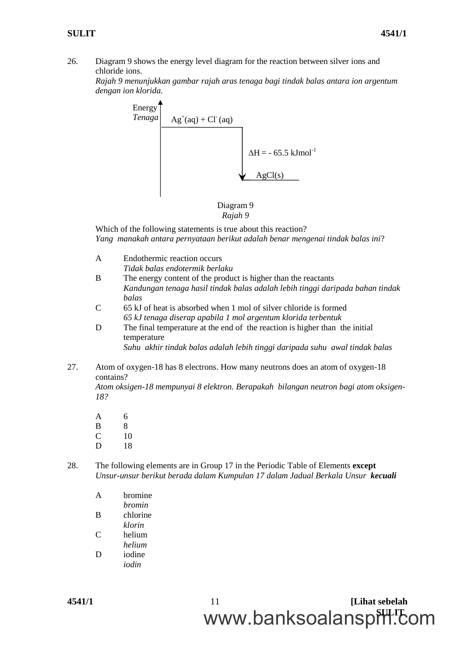26. Diagram 9 shows the energy level diagram for the reaction between silver ions and chloride ions.

*Rajah 9 menunjukkan gambar rajah aras tenaga bagi tindak balas antara ion argentum dengan ion klorida.*

![](_page_10_Figure_4.jpeg)

![](_page_10_Figure_5.jpeg)

Which of the following statements is true about this reaction? *Yang manakah antara pernyataan berikut adalah benar mengenai tindak balas ini*?

- A Endothermic reaction occurs *Tidak balas endotermik berlaku*
- B The energy content of the product is higher than the reactants *Kandungan tenaga hasil tindak balas adalah lebih tinggi daripada bahan tindak balas*
- C 65 kJ of heat is absorbed when 1 mol of silver chloride is formed *65 kJ tenaga diserap apabila 1 mol argentum klorida terbentuk*
- D The final temperature at the end of the reaction is higher than the initial temperature

*Suhu akhir tindak balas adalah lebih tinggi daripada suhu awal tindak balas*

27. Atom of oxygen-18 has 8 electrons. How many neutrons does an atom of oxygen-18 contains?

*Atom oksigen-18 mempunyai 8 elektron. Berapakah bilangan neutron bagi atom oksigen-18?*

A 6 B 8  $C = 10$ D 18

28. The following elements are in Group 17 in the Periodic Table of Elements **except** *Unsur-unsur berikut berada dalam Kumpulan 17 dalam Jadual Berkala Unsur kecuali*

| A | bromine       |
|---|---------------|
|   | <i>bromin</i> |
| B | chlorine      |
|   |               |

- *klorin* C helium *helium*
- D iodine *iodin*

**4541/1** 11 **[Lihat sebelah** www.banksoalanspill.com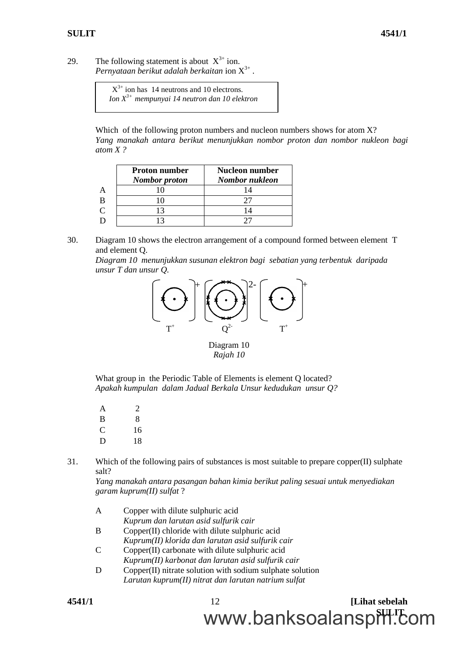29. The following statement is about  $X^{3+}$  ion. *Pernyataan berikut adalah berkaitan* ion X 3+ .

 $X^{3+}$  ion has 14 neutrons and 10 electrons. *Ion X3+ mempunyai 14 neutron dan 10 elektron*

Which of the following proton numbers and nucleon numbers shows for atom X? *Yang manakah antara berikut menunjukkan nombor proton dan nombor nukleon bagi atom X ?*

|          | <b>Proton number</b><br><b>Nombor</b> proton | <b>Nucleon number</b><br>Nombor nukleon |
|----------|----------------------------------------------|-----------------------------------------|
|          |                                              |                                         |
|          |                                              |                                         |
| $\Gamma$ | $\mathbf{1}^2$                               |                                         |
|          |                                              |                                         |

30. Diagram 10 shows the electron arrangement of a compound formed between element T and element Q.

*Diagram 10 menunjukkan susunan elektron bagi sebatian yang terbentuk daripada unsur T dan unsur Q.*

![](_page_11_Figure_8.jpeg)

Diagram 10 *Rajah 10*

What group in the Periodic Table of Elements is element Q located? *Apakah kumpulan dalam Jadual Berkala Unsur kedudukan unsur Q?*

- A 2 B 8 C 16 D 18
- 31. Which of the following pairs of substances is most suitable to prepare copper(II) sulphate salt?

*Yang manakah antara pasangan bahan kimia berikut paling sesuai untuk menyediakan garam kuprum(II) sulfat* ?

www.banksoalanspill.com

| A | Copper with dilute sulphuric acid                         |  |
|---|-----------------------------------------------------------|--|
|   | Kuprum dan larutan asid sulfurik cair                     |  |
| B | Copper(II) chloride with dilute sulphuric acid            |  |
|   | Kuprum(II) klorida dan larutan asid sulfurik cair         |  |
| C | Copper(II) carbonate with dilute sulphuric acid           |  |
|   | Kuprum(II) karbonat dan larutan asid sulfurik cair        |  |
| D | Copper(II) nitrate solution with sodium sulphate solution |  |
|   | Larutan kuprum(II) nitrat dan larutan natrium sulfat      |  |
|   |                                                           |  |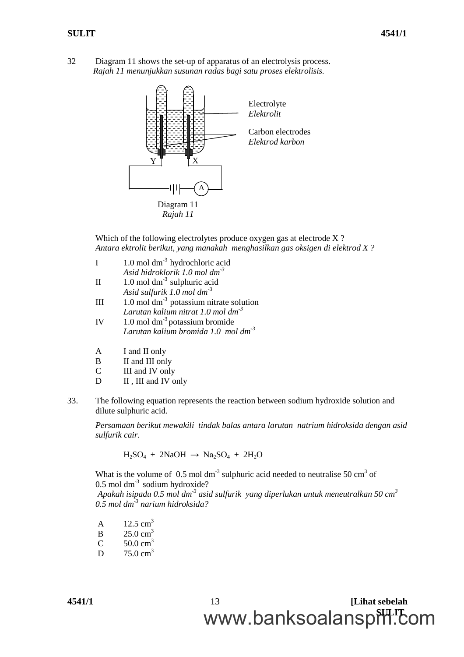32 Diagram 11 shows the set-up of apparatus of an electrolysis process. *Rajah 11 menunjukkan susunan radas bagi satu proses elektrolisis.*

![](_page_12_Figure_3.jpeg)

Which of the following electrolytes produce oxygen gas at electrode X? *Antara ektrolit berikut, yang manakah menghasilkan gas oksigen di elektrod X ?*

|    | $1.0$ mol dm <sup>-3</sup> hydrochloric acid    |
|----|-------------------------------------------------|
|    | Asid hidroklorik 1.0 mol $dm^{-3}$              |
| П  | 1.0 mol $dm^{-3}$ sulphuric acid                |
|    | Asid sulfurik 1.0 mol $dm^{-3}$                 |
| Ш  | 1.0 mol $dm^{-3}$ potassium nitrate solution    |
|    | Larutan kalium nitrat 1.0 mol dm <sup>-3</sup>  |
| IV | 1.0 mol $dm^{-3}$ potassium bromide             |
|    | Larutan kalium bromida 1.0 mol dm <sup>-3</sup> |
|    |                                                 |

- A I and II only
- B II and III only
- C III and IV only
- D II, III and IV only
- 33. The following equation represents the reaction between sodium hydroxide solution and dilute sulphuric acid.

*Persamaan berikut mewakili tindak balas antara larutan natrium hidroksida dengan asid sulfurik cair.*

 $H_2SO_4 + 2NaOH \rightarrow Na_2SO_4 + 2H_2O$ 

What is the volume of 0.5 mol dm<sup>-3</sup> sulphuric acid needed to neutralise 50 cm<sup>3</sup> of  $0.5$  mol dm<sup>-3</sup> sodium hydroxide?

*Apakah isipadu 0.5 mol dm-3 asid sulfurik yang diperlukan untuk meneutralkan 50 cm<sup>3</sup> 0.5 mol dm-3 narium hidroksida?*

A  $12.5 \text{ cm}^3$  $B = 25.0 \text{ cm}^3$ 

- $C = 50.0 \text{ cm}^3$
- $D = 75.0 \text{ cm}^3$

**4541/1** 13 **[Lihat sebelah** www.banksoalanspill.com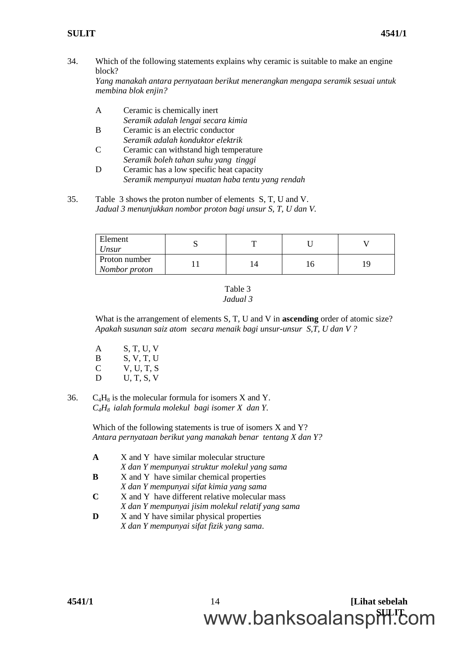34. Which of the following statements explains why ceramic is suitable to make an engine block?

*Yang manakah antara pernyataan berikut menerangkan mengapa seramik sesuai untuk membina blok enjin?*

- A Ceramic is chemically inert *Seramik adalah lengai secara kimia*
- B Ceramic is an electric conductor *Seramik adalah konduktor elektrik*
- C Ceramic can withstand high temperature *Seramik boleh tahan suhu yang tinggi*
- D Ceramic has a low specific heat capacity *Seramik mempunyai muatan haba tentu yang rendah*
- 35. Table 3 shows the proton number of elements S, T, U and V. *Jadual 3 menunjukkan nombor proton bagi unsur S, T, U dan V.*

| Element<br>Unsur               |  |    |
|--------------------------------|--|----|
| Proton number<br>Nombor proton |  | ۱u |

#### Table 3 *Jadual 3*

What is the arrangement of elements S, T, U and V in **ascending** order of atomic size? *Apakah susunan saiz atom secara menaik bagi unsur-unsur S,T, U dan V ?*

- A S, T, U, V<br>B S. V, T, U S, V, T, U C V, U, T, S D U, T, S, V
- 36.  $C_4H_8$  is the molecular formula for isomers X and Y. *C4H<sup>8</sup> ialah formula molekul bagi isomer X dan Y.*

Which of the following statements is true of isomers X and Y? *Antara pernyataan berikut yang manakah benar tentang X dan Y?*

- **A** X and Y have similar molecular structure *X dan Y mempunyai struktur molekul yang sama*
- **B** X and Y have similar chemical properties *X dan Y mempunyai sifat kimia yang sama*
- **C** X and Y have different relative molecular mass *X dan Y mempunyai jisim molekul relatif yang sama*
- **D** X and Y have similar physical properties

*X dan Y mempunyai sifat fizik yang sama.*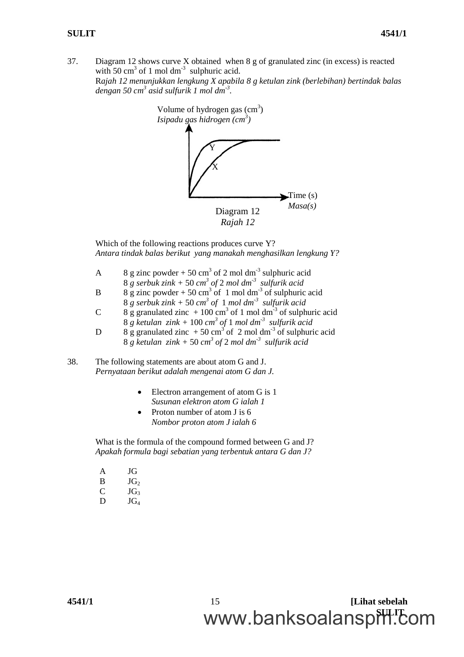37. Diagram 12 shows curve X obtained when 8 g of granulated zinc (in excess) is reacted with 50 cm<sup>3</sup> of 1 mol dm<sup>-3</sup> sulphuric acid. R*ajah 12 menunjukkan lengkung X apabila 8 g ketulan zink (berlebihan) bertindak balas dengan 50 cm<sup>3</sup> asid sulfurik 1 mol dm-3 .*

![](_page_14_Figure_3.jpeg)

Which of the following reactions produces curve Y? *Antara tindak balas berikut yang manakah menghasilkan lengkung Y?*

- A 8 g zinc powder + 50 cm<sup>3</sup> of 2 mol dm<sup>-3</sup> sulphuric acid
- 8 *g serbuk zink +* 50 *cm 3 of* 2 *mol dm-3 sulfurik acid*
- B 8 g zinc powder + 50 cm<sup>3</sup> of 1 mol dm<sup>-3</sup> of sulphuric acid
- $8 \text{ g}$  serbuk zink + 50  $cm^3$  of 1 mol dm<sup>-3</sup> sulfurik acid
- C 8 g granulated zinc  $+100 \text{ cm}^3$  of 1 mol dm<sup>-3</sup> of sulphuric acid 8 *g ketulan zink +* 100 *cm 3 of* 1 *mol dm-3 sulfurik acid*
- D 8 g granulated zinc  $+50 \text{ cm}^3$  of 2 mol dm<sup>-3</sup> of sulphuric acid 8 *g ketulan zink +* 50 *cm 3 of* 2 *mol dm-3 sulfurik acid*
- 38. The following statements are about atom G and J. *Pernyataan berikut adalah mengenai atom G dan J.*
	- Electron arrangement of atom G is 1 *Susunan elektron atom G ialah 1*
	- Proton number of atom J is 6 *Nombor proton atom J ialah 6*

What is the formula of the compound formed between G and J? *Apakah formula bagi sebatian yang terbentuk antara G dan J?*

- A JG  $B$  JG<sub>2</sub>  $C$  JG<sub>3</sub>
- $D$   $JG_4$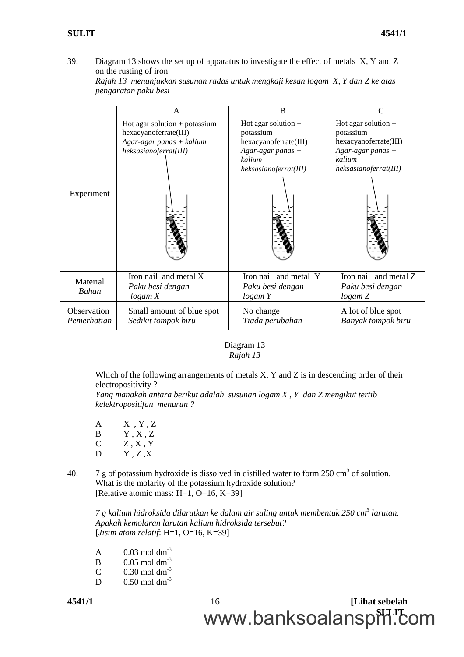39. Diagram 13 shows the set up of apparatus to investigate the effect of metals X, Y and Z on the rusting of iron

|                            | A                                                                                                               | B                                                                                                                     | $\subset$                                                                                                           |
|----------------------------|-----------------------------------------------------------------------------------------------------------------|-----------------------------------------------------------------------------------------------------------------------|---------------------------------------------------------------------------------------------------------------------|
| Experiment                 | Hot agar solution $+$ potassium<br>hexacyanoferrate(III)<br>$Agar-agar panas + kalium$<br>heksasianoferrat(III) | Hot agar solution $+$<br>potassium<br>hexacyanoferrate(III)<br>$Agar-agar$ panas +<br>kalium<br>heksasianoferrat(III) | Hot agar solution +<br>potassium<br>hexacyanoferrate(III)<br>$Agar-agar$ panas +<br>kalium<br>heksasianoferrat(III) |
| Material<br>Bahan          | Iron nail and metal X<br>Paku besi dengan<br>logam X                                                            | Iron nail and metal Y<br>Paku besi dengan<br>logam Y                                                                  | Iron nail and metal Z<br>Paku besi dengan<br>logam Z                                                                |
| Observation<br>Pemerhatian | Small amount of blue spot<br>Sedikit tompok biru                                                                | No change<br>Tiada perubahan                                                                                          | A lot of blue spot<br>Banyak tompok biru                                                                            |

*Rajah 13 menunjukkan susunan radas untuk mengkaji kesan logam X, Y dan Z ke atas pengaratan paku besi*

### Diagram 13 *Rajah 13*

Which of the following arrangements of metals X, Y and Z is in descending order of their electropositivity ?

*Yang manakah antara berikut adalah susunan logam X , Y dan Z mengikut tertib kelektropositifan menurun ?*

| $\mathsf{A}$ | $X$ , $Y$ , $Z$ |
|--------------|-----------------|
| B            | Y.X.Z           |
| C            | $Z$ , $X$ , $Y$ |
| D            | $\rm Y$ , Z ,X  |

40.  $\frac{7 \text{ g}}{100}$  of potassium hydroxide is dissolved in distilled water to form 250 cm<sup>3</sup> of solution. What is the molarity of the potassium hydroxide solution? [Relative atomic mass: H=1, O=16, K=39]

*7 g kalium hidroksida dilarutkan ke dalam air suling untuk membentuk 250 cm<sup>3</sup> larutan. Apakah kemolaran larutan kalium hidroksida tersebut?* [*Jisim atom relatif*: H=1, O=16, K=39]

- A  $0.03 \text{ mol dm}^{-3}$
- B  $0.05 \text{ mol dm}^{-3}$
- C  $0.30$  mol dm<sup>-3</sup>
- $D$  0.50 mol dm<sup>-3</sup>

**4541/1** 16 **[Lihat sebelah** www.banksoalanspill.com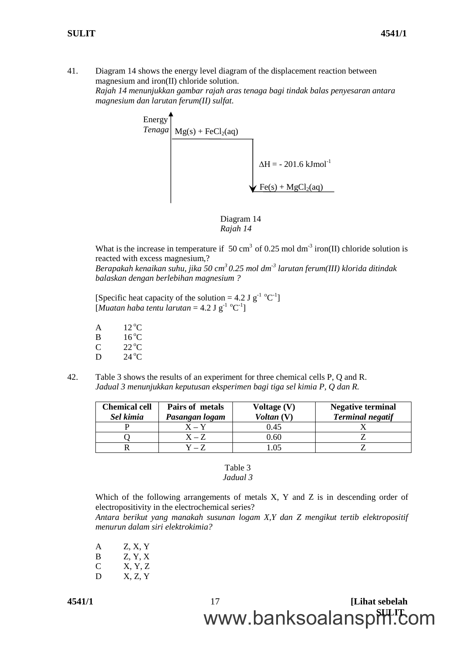41. Diagram 14 shows the energy level diagram of the displacement reaction between magnesium and iron(II) chloride solution. *Rajah 14 menunjukkan gambar rajah aras tenaga bagi tindak balas penyesaran antara magnesium dan larutan ferum(II) sulfat.*

![](_page_16_Figure_3.jpeg)

![](_page_16_Figure_4.jpeg)

What is the increase in temperature if 50 cm<sup>3</sup> of 0.25 mol dm<sup>-3</sup> iron(II) chloride solution is reacted with excess magnesium,?

*Berapakah kenaikan suhu, jika 50 cm<sup>3</sup> 0.25 mol dm-3 larutan ferum(III) klorida ditindak balaskan dengan berlebihan magnesium ?*

[Specific heat capacity of the solution = 4.2 J  $g^{-1}$  °C<sup>-1</sup>]  $[M$ *uatan haba tentu larutan* = 4.2 J g<sup>-1</sup> °C<sup>-1</sup>]

- $A$  12 °C B  $16^{\circ}$ C  $C$  22 °C
- D  $24^{\circ}$ C
- 42. Table 3 shows the results of an experiment for three chemical cells P, Q and R. *Jadual 3 menunjukkan keputusan eksperimen bagi tiga sel kimia P, Q dan R.*

| <b>Chemical cell</b><br>Sel kimia | Pairs of metals<br>Pasangan logam | Voltage (V)<br>Voltan (V) | <b>Negative terminal</b><br><b>Terminal negatif</b> |
|-----------------------------------|-----------------------------------|---------------------------|-----------------------------------------------------|
|                                   | ${\bf X} = {\bf Y}$               | 0.45                      |                                                     |
|                                   | $\mathbf{X} = \mathbf{Z}$         | 0.60                      |                                                     |
|                                   |                                   |                           |                                                     |

### Table 3 *Jadual 3*

Which of the following arrangements of metals X, Y and Z is in descending order of electropositivity in the electrochemical series?

*Antara berikut yang manakah susunan logam X,Y dan Z mengikut tertib elektropositif menurun dalam siri elektrokimia?*

- A Z, X, Y
- $B$  Z, Y, X
- C X, Y, Z
- $D$  X, Z, Y

**4541/1** 17 **[Lihat sebelah** www.banksoalanspill.com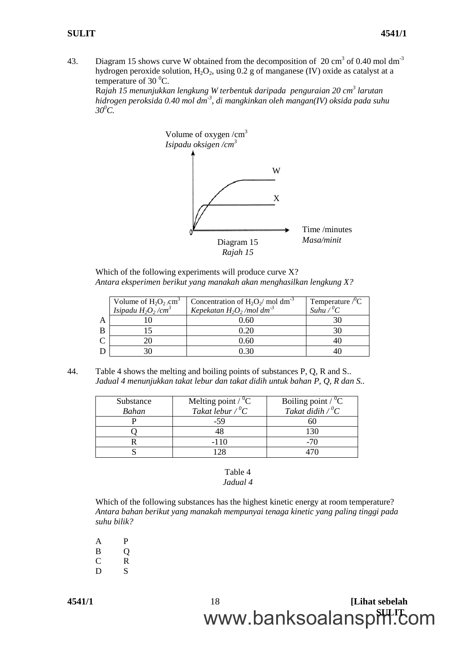43. Diagram 15 shows curve W obtained from the decomposition of  $20 \text{ cm}^3$  of 0.40 mol dm<sup>-3</sup> hydrogen peroxide solution,  $H_2O_2$ , using 0.2 g of manganese (IV) oxide as catalyst at a temperature of 30 $\mathrm{^{0}C}$ .

R*ajah 15 menunjukkan lengkung W terbentuk daripada penguraian 20 cm<sup>3</sup> larutan hidrogen peroksida 0.40 mol dm-3 , di mangkinkan oleh mangan(IV) oksida pada suhu*  $30^{\circ}$ C.

![](_page_17_Figure_4.jpeg)

Which of the following experiments will produce curve X? *Antara eksperimen berikut yang manakah akan menghasilkan lengkung X?*

|   | Volume of $H_2O_2$ cm <sup>3</sup><br>Isipadu $H_2O_2/cm^3$ | Concentration of $H_2O_2/mol dm^{-3}$<br>Kepekatan $H_2O_2$ /mol dm <sup>-3</sup> | Temperature $\rm ^{\prime\prime}C$<br>Suhu $\sqrt{^0}C$ |
|---|-------------------------------------------------------------|-----------------------------------------------------------------------------------|---------------------------------------------------------|
| A |                                                             | 0.60                                                                              |                                                         |
| B |                                                             | ) 20                                                                              |                                                         |
|   |                                                             | 0.60                                                                              |                                                         |
| D |                                                             | 121                                                                               |                                                         |

44. Table 4 shows the melting and boiling points of substances P, Q, R and S.. *Jadual 4 menunjukkan takat lebur dan takat didih untuk bahan P, Q, R dan S..*

| Substance<br>Bahan | Melting point / ${^0C}$<br>Takat lebur / ${^0C}$ | Boiling point / ${^0C}$<br>Takat didih / ${^0C}$ |
|--------------------|--------------------------------------------------|--------------------------------------------------|
|                    | -59                                              |                                                  |
|                    |                                                  |                                                  |
|                    | $-110$                                           | -70                                              |
|                    |                                                  |                                                  |

### Table 4 *Jadual 4*

Which of the following substances has the highest kinetic energy at room temperature? *Antara bahan berikut yang manakah mempunyai tenaga kinetic yang paling tinggi pada suhu bilik?*

A P B O C R D S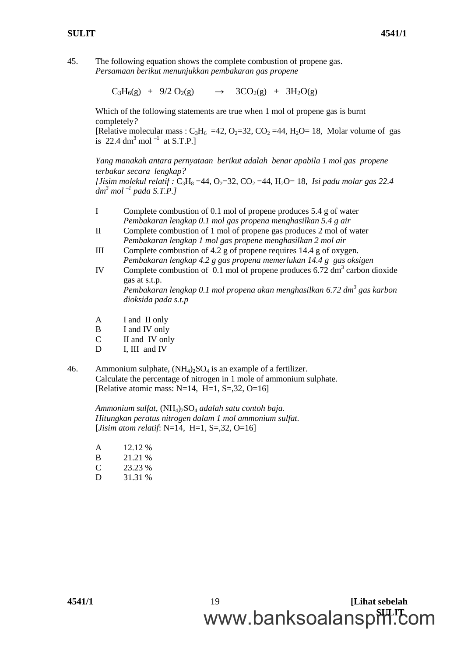45. The following equation shows the complete combustion of propene gas. *Persamaan berikut menunjukkan pembakaran gas propene*

 $C_3H_6(g) + 9/2 O_2(g) \rightarrow 3CO_2(g) + 3H_2O(g)$ 

Which of the following statements are true when 1 mol of propene gas is burnt completely*?*

[Relative molecular mass :  $C_3H_6 = 42$ ,  $O_2 = 32$ ,  $CO_2 = 44$ ,  $H_2O = 18$ , Molar volume of gas is 22.4 dm<sup>3</sup> mol<sup>-1</sup> at S.T.P.]

*Yang manakah antara pernyataan berikut adalah benar apabila 1 mol gas propene terbakar secara lengkap?*

*[Jisim molekul relatif*  $: C_3H_8 = 44, O_2 = 32, CO_2 = 44, H_2O = 18$ , *Isi padu molar gas 22.4 dm<sup>3</sup> mol –1 pada S.T.P.]*

- I Complete combustion of 0.1 mol of propene produces 5.4 g of water *Pembakaran lengkap 0.1 mol gas propena menghasilkan 5.4 g air*
- II Complete combustion of 1 mol of propene gas produces 2 mol of water *Pembakaran lengkap 1 mol gas propene menghasilkan 2 mol air*
- III Complete combustion of 4.2 g of propene requires 14.4 g of oxygen*. Pembakaran lengkap 4.2 g gas propena memerlukan 14.4 g gas oksigen*
- IV Complete combustion of 0.1 mol of propene produces 6.72 dm<sup>3</sup> carbon dioxide gas at s.t.p. *Pembakaran lengkap 0.1 mol propena akan menghasilkan 6.72 dm<sup>3</sup> gas karbon*
- A I and II only

*dioksida pada s.t.p*

- B I and IV only
- C II and IV only
- D I, III and IV
- 46. Ammonium sulphate,  $(NH_4)_2SO_4$  is an example of a fertilizer. Calculate the percentage of nitrogen in 1 mole of ammonium sulphate. [Relative atomic mass:  $N=14$ ,  $H=1$ ,  $S=.32$ ,  $O=16$ ]

*Ammonium sulfat,* (NH4)2SO<sup>4</sup> *adalah satu contoh baja. Hitungkan peratus nitrogen dalam 1 mol ammonium sulfat.* [*Jisim atom relatif*: N=14, H=1, S=,32, O=16]

| A | 12.12 % |
|---|---------|
| B | 21.21 % |
| C | 23.23 % |
| D | 31.31 % |

**4541/1** 19 **[Lihat sebelah** www.banksoalanspill.com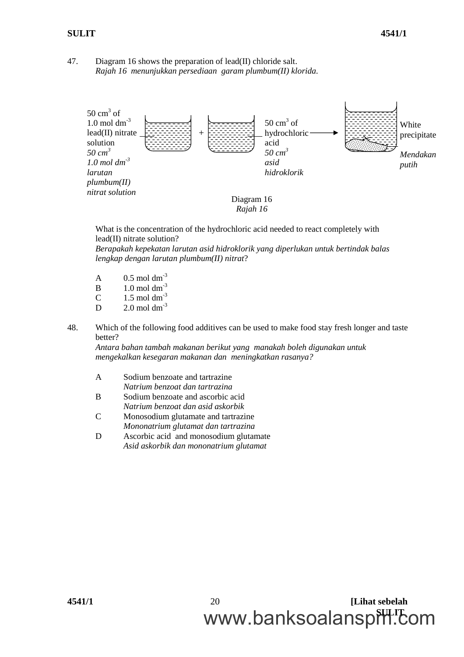### 47. Diagram 16 shows the preparation of lead(II) chloride salt. *Rajah 16 menunjukkan persediaan garam plumbum(II) klorida.*

![](_page_19_Figure_3.jpeg)

What is the concentration of the hydrochloric acid needed to react completely with lead(II) nitrate solution?

*Berapakah kepekatan larutan asid hidroklorik yang diperlukan untuk bertindak balas lengkap dengan larutan plumbum(II) nitrat*?

- A  $0.5 \text{ mol dm}^{-3}$
- $B = 1.0$  mol dm<sup>-3</sup>
- C  $1.5 \text{ mol dm}^{-3}$
- $D = 2.0$  mol dm<sup>-3</sup>
- 48. Which of the following food additives can be used to make food stay fresh longer and taste better?

*Antara bahan tambah makanan berikut yang manakah boleh digunakan untuk mengekalkan kesegaran makanan dan meningkatkan rasanya?*

- A Sodium benzoate and tartrazine *Natrium benzoat dan tartrazina*
- B Sodium benzoate and ascorbic acid *Natrium benzoat dan asid askorbik*
- C Monosodium glutamate and tartrazine *Mononatrium glutamat dan tartrazina*
- D Ascorbic acid and monosodium glutamate *Asid askorbik dan mononatrium glutamat*

**4541/1** 20 **[Lihat sebelah** www.banksoalanspill.com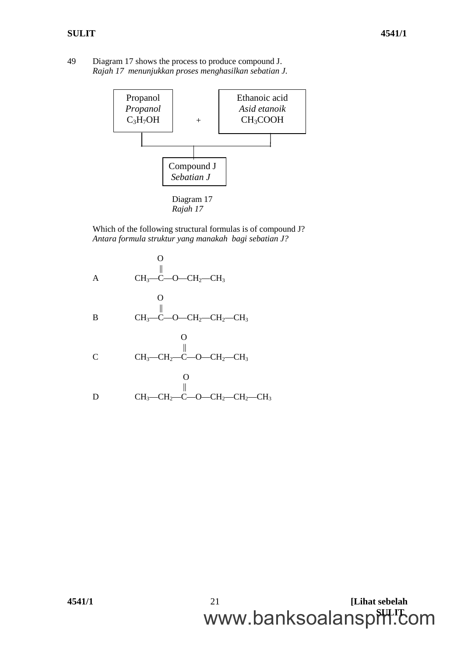49 Diagram 17 shows the process to produce compound J. *Rajah 17 menunjukkan proses menghasilkan sebatian J.*

![](_page_20_Figure_3.jpeg)

Which of the following structural formulas is of compound J? *Antara formula struktur yang manakah bagi sebatian J?*

![](_page_20_Figure_5.jpeg)